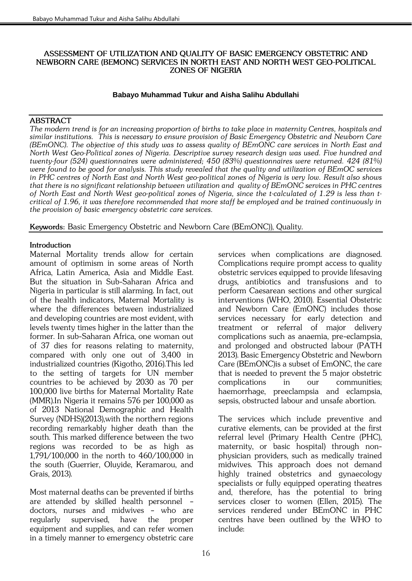## *ASSESSMENT OF UTILIZATION AND QUALITY OF BASIC EMERGENCY OBSTETRIC AND NEWBORN CARE (BEMONC) SERVICES IN NORTH EAST AND NORTH WEST GEO-POLITICAL ZONES OF NIGERIA*

## **Babayo Muhammad Tukur and Aisha Salihu Abdullahi**

# *ABSTRACT*

*The modern trend is for an increasing proportion of births to take place in maternity Centres, hospitals and similar institutions. This is necessary to ensure provision of Basic Emergency Obstetric and Newborn Care (BEmONC). The objective of this study was to assess quality of BEmONC care services in North East and North West Geo-Political zones of Nigeria. Descriptive survey research design was used. Five hundred and twenty-four (524) questionnaires were administered; 450 (83%) questionnaires were returned. 424 (81%) were found to be good for analysis. This study revealed that the quality and utilization of BEmOC services in PHC centres of North East and North West geo-political zones of Nigeria is very low. Result also shows that there is no significant relationship between utilization and quality of BEmONC services in PHC centres of North East and North West geo-political zones of Nigeria, since the t-calculated of 1.29 is less than tcritical of 1.96, it was therefore recommended that more staff be employed and be trained continuously in the provision of basic emergency obstetric care services.*

*Keywords: Basic Emergency Obstetric and Newborn Care (BEmONC)), Quality.*

# *Introduction*

*Maternal Mortality trends allow for certain amount of optimism in some areas of North Africa, Latin America, Asia and Middle East. But the situation in Sub-Saharan Africa and Nigeria in particular is still alarming. In fact, out of the health indicators, Maternal Mortality is where the differences between industrialized and developing countries are most evident, with levels twenty times higher in the latter than the former. In sub-Saharan Africa, one woman out of 37 dies for reasons relating to maternity, compared with only one out of 3,400 in industrialized countries (Kigotho, 2016).This led to the setting of targets for UN member countries to be achieved by 2030 as 70 per 100,000 live births for Maternal Mortality Rate (MMR).In Nigeria it remains 576 per 100,000 as of 2013 National Demographic and Health Survey (NDHS)(2013),with the northern regions recording remarkably higher death than the south. This marked difference between the two regions was recorded to be as high as 1,791/100,000 in the north to 460/100,000 in the south (Guerrier, Oluyide, Keramarou, and Grais, 2013).*

*Most maternal deaths can be prevented if births are attended by [skilled health personnel](http://www.childinfo.org/delivery_care.html) – doctors, nurses and midwives – who are regularly supervised, have the proper equipment and supplies, and can refer women in a timely manner to emergency obstetric care* 

*services when complications are diagnosed. Complications require prompt access to quality obstetric services equipped to provide lifesaving drugs, antibiotics and transfusions and to perform Caesarean sections and other surgical interventions (WHO, 2010). Essential Obstetric and Newborn Care (EmONC) includes those services necessary for early detection and treatment or referral of major delivery complications such as anaemia, pre-eclampsia, and prolonged and obstructed labour (PATH 2013). Basic Emergency Obstetric and Newborn Care (BEmONC)is a subset of EmONC, the care that is needed to prevent the 5 major obstetric complications in our communities; haemorrhage, preeclampsia and eclampsia, sepsis, obstructed labour and unsafe abortion.* 

*The services which include preventive and curative elements, can be provided at the first referral level (Primary Health Centre (PHC), maternity, or basic hospital) through nonphysician providers, such as medically trained midwives. This approach does not demand highly trained obstetrics and gynaecology specialists or fully equipped operating theatres and, therefore, has the potential to bring services closer to women (Ellen, 2015). The services rendered under BEmONC in PHC centres have been outlined by the WHO to include:*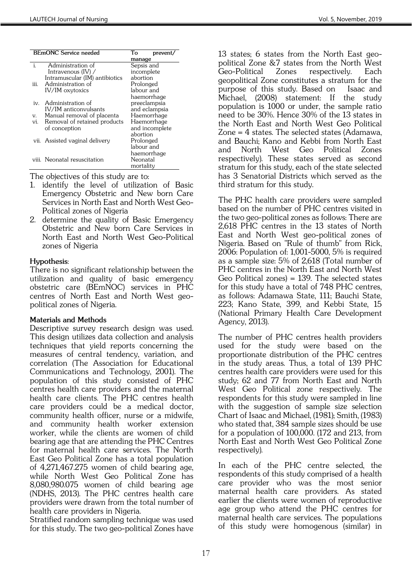|              | <b>BEmONC</b> Service needed     | To<br>prevent<br>manage |
|--------------|----------------------------------|-------------------------|
| $\ddot{i}$ . | Administration of                | Sepsis and              |
|              | Intravenous $(IV)$ /             | incomplete              |
|              | Intramuscular (IM) antibiotics   | abortion                |
| iii.         | Administration of                | Prolonged               |
|              | <b>IV/IM</b> oxytoxics           | labour and              |
|              |                                  | haemorrhage             |
| iv.          | Administration of                | preeclampsia            |
|              | IV/IM anticonvulsants            | and eclampsia           |
| V.           | Manual removal of placenta       | Haemorrhage             |
|              | vi. Removal of retained products | Haemorrhage             |
|              | of conception                    | and incomplete          |
|              |                                  | abortion                |
|              | vii. Assisted vaginal delivery   | Prolonged               |
|              |                                  | labour and              |
|              |                                  | haemorrhage             |
|              | viii. Neonatal resuscitation     | Neonatal                |
|              |                                  | mortality               |

*The objectives of this study are to:* 

- *1. identify the level of utilization of Basic Emergency Obstetric and New born Care Services in North East and North West Geo-Political zones of Nigeria*
- *2. determine the quality of Basic Emergency Obstetric and New born Care Services in North East and North West Geo-Political zones of Nigeria*

## *Hypothesis:*

*There is no significant relationship between the utilization and quality of basic emergency obstetric care (BEmNOC) services in PHC centres of North East and North West geopolitical zones of Nigeria.* 

## *Materials and Methods*

*Descriptive survey research design was used. This design utilizes data collection and analysis techniques that yield reports concerning the measures of central tendency, variation, and correlation (The Association for Educational Communications and Technology, 2001). The population of this study consisted of PHC centres health care providers and the maternal health care clients. The PHC centres health care providers could be a medical doctor, community health officer, nurse or a midwife, and community health worker extension worker, while the clients are women of child bearing age that are attending the PHC Centres for maternal health care services. The North East Geo Political Zone has a total population of 4,271,467.275 women of child bearing age, while North West Geo Political Zone has 8,080,980.075 women of child bearing age (NDHS, 2013). The PHC centres health care providers were drawn from the total number of health care providers in Nigeria.* 

*Stratified random sampling technique was used for this study. The two geo-political Zones have* 

*13 states; 6 states from the North East geopolitical Zone &7 states from the North West Geo-Political Zones respectively. Each geopolitical Zone constitutes a stratum for the purpose of this study. Based on Isaac and Michael, (2008) statement: If the study population is 1000 or under, the sample ratio need to be 30%. Hence 30% of the 13 states in the North East and North West Geo Political Zone = 4 states. The selected states (Adamawa, and Bauchi; Kano and Kebbi from North East and North West Geo Political Zones respectively). These states served as second stratum for this study, each of the state selected has 3 Senatorial Districts which served as the third stratum for this study.* 

*The PHC health care providers were sampled based on the number of PHC centres visited in the two geo-political zones as follows: There are 2,618 PHC centres in the 13 states of North East and North West geo-political zones of Nigeria. Based on "Rule of thumb" from Rick, 2006: Population of: 1,001-5000, 5% is required as a sample size: 5% of 2,618 (Total number of PHC centres in the North East and North West Geo Political zones) = 139. The selected states for this study have a total of 748 PHC centres, as follows: Adamawa State, 111; Bauchi State, 223; Kano State, 399, and Kebbi State, 15 (National Primary Health Care Development Agency, 2013).* 

*The number of PHC centres health providers used for the study were based on the proportionate distribution of the PHC centres in the study areas. Thus, a total of 139 PHC centres health care providers were used for this study; 62 and 77 from North East and North West Geo Political zone respectively. The respondents for this study were sampled in line with the suggestion of sample size selection Chart of Isaac and Michael, (1981); Smith, (1983) who stated that, 384 sample sizes should be use for a population of 100,000. (172 and 213, from North East and North West Geo Political Zone respectively).* 

*In each of the PHC centre selected, the respondents of this study comprised of a health care provider who was the most senior maternal health care providers. As stated earlier the clients were women of reproductive age group who attend the PHC centres for maternal health care services. The populations of this study were homogenous (similar) in*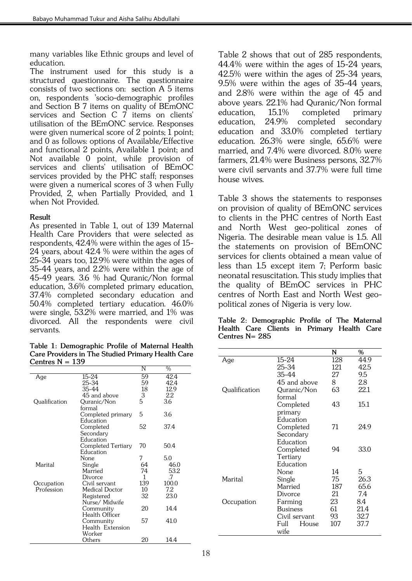*many variables like Ethnic groups and level of education.*

*The instrument used for this study is a structured questionnaire. The questionnaire consists of two sections on: section A 5 items on, respondents 'socio-demographic profiles and Section B 7 items on quality of BEmONC services and Section C 7 items on clients' utilisation of the BEmONC service. Responses were given numerical score of 2 points; 1 point; and 0 as follows: options of Available/Effective and functional 2 points, Available 1 point; and Not available 0 point, while provision of services and clients' utilisation of BEmOC services provided by the PHC staff; responses were given a numerical scores of 3 when Fully Provided, 2, when Partially Provided, and 1 when Not Provided.* 

## *Result*

*As presented in Table 1, out of 139 Maternal Health Care Providers that were selected as respondents, 42.4% were within the ages of 15- 24 years, about 42.4 % were within the ages of 25-34 years too, 12.9% were within the ages of 35-44 years, and 2.2% were within the age of 45-49 years. 3.6 % had Quranic/Non formal education, 3.6% completed primary education, 37.4% completed secondary education and 50.4% completed tertiary education. 46.0% were single, 53.2% were married, and 1% was divorced. All the respondents were civil servants.*

*Table 1: Demographic Profile of Maternal Health Care Providers in The Studied Primary Health Care Centres N = 139*

|               |                    | N   | %     |
|---------------|--------------------|-----|-------|
| Age           | 15-24              | 59  | 42.4  |
|               | 25-34              | 59  | 42.4  |
|               | 35-44              | 18  | 12.9  |
|               | 45 and above       | 3   | 2.2   |
| Qualification | Quranic/Non        | 5   | 3.6   |
|               | formal             |     |       |
|               | Completed primary  | 5   | 3.6   |
|               | Education          |     |       |
|               | Completed          | 52  | 37.4  |
|               | Secondary          |     |       |
|               | Education          |     |       |
|               | Completed Tertiary | 70  | 50.4  |
|               | Education          |     |       |
|               | None               | 7   | 5.0   |
| Marital       | Single             | 64  | 46.0  |
|               | Married            | 74  | 53.2  |
|               | Divorce            | 1   | .7    |
| Occupation    | Civil servant      | 139 | 100.0 |
| Profession    | Medical Doctor     | 10  | 7.2   |
|               | Registered         | 32  | 23.0  |
|               | Nurse/ Midwife     |     |       |
|               | Community          | 20  | 14.4  |
|               | Health Officer     |     |       |
|               | Community          | 57  | 41.0  |
|               | Health Extension   |     |       |
|               | Worker             |     |       |
|               | Others             | 20  | 14.4  |

*Table 2 shows that out of 285 respondents, 44.4% were within the ages of 15-24 years, 42.5% were within the ages of 25-34 years, 9.5% were within the ages of 35-44 years, and 2.8% were within the age of 45 and above years. 22.1% had Quranic/Non formal education, 15.1% completed primary education, 24.9% completed secondary education and 33.0% completed tertiary education. 26.3% were single, 65.6% were married, and 7.4% were divorced. 8.0% were farmers, 21.4% were Business persons, 32.7% were civil servants and 37.7% were full time house wives.* 

*Table 3 shows the statements to responses on provision of quality of BEmONC services to clients in the PHC centres of North East and North West geo-political zones of Nigeria. The desirable mean value is 1.5. All the statements on provision of BEmONC services for clients obtained a mean value of less than 1.5 except item 7; Perform basic neonatal resuscitation. This study implies that the quality of BEmOC services in PHC centres of North East and North West geopolitical zones of Nigeria is very low.*

|                | Table 2: Demographic Profile of The Maternal |  |  |  |  |
|----------------|----------------------------------------------|--|--|--|--|
|                | Health Care Clients in Primary Health Care   |  |  |  |  |
| Centres N= 285 |                                              |  |  |  |  |

|               |                 | N   | %    |
|---------------|-----------------|-----|------|
| Age           | 15-24           | 128 | 44.9 |
|               | 25-34           | 121 | 42.5 |
|               | 35-44           | 27  | 9.5  |
|               | 45 and above    | 8   | 2.8  |
| Qualification | Quranic/Non     | 63  | 22.1 |
|               | formal          |     |      |
|               | Completed       | 43  | 15.1 |
|               | primary         |     |      |
|               | Education       |     |      |
|               | Completed       | 71  | 24.9 |
|               | Secondary       |     |      |
|               | Education       |     |      |
|               | Completed       | 94  | 33.0 |
|               | Tertiary        |     |      |
|               | Education       |     |      |
|               | None            | 14  | 5    |
| Marital       | Single          | 75  | 26.3 |
|               | Married         | 187 | 65.6 |
|               | Divorce         | 21  | 7.4  |
| Occupation    | Farming         | 23  | 84   |
|               | <b>Business</b> | 61  | 21.4 |
|               | Civil servant   | 93  | 32.7 |
|               | House<br>Full   | 107 | 37.7 |
|               | wife            |     |      |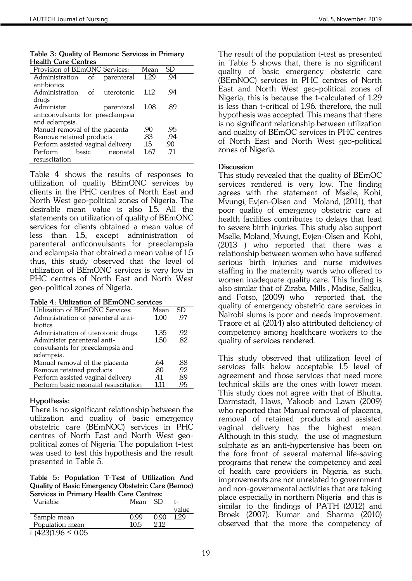*Table 3: Quality of Bemonc Services in Primary Health Care Centres* 

| Tiedilli Care Centres             |                                  |            |      |     |  |
|-----------------------------------|----------------------------------|------------|------|-----|--|
| Provision of BEmONC Services:     |                                  |            | Mean | SD  |  |
| Administration of                 |                                  | parenteral | 1.29 | .94 |  |
| antibiotics                       |                                  |            |      |     |  |
| Administration of                 |                                  | uterotonic | 1.12 | .94 |  |
| drugs                             |                                  |            |      |     |  |
| Administer                        |                                  | parenteral | 1.08 | .89 |  |
|                                   | anticonvulsants for preeclampsia |            |      |     |  |
| and eclampsia.                    |                                  |            |      |     |  |
| Manual removal of the placenta    |                                  |            | .90  | .95 |  |
| Remove retained products          |                                  |            | .83  | .94 |  |
| Perform assisted vaginal delivery |                                  |            | .15  | .90 |  |
| Perform                           | basic                            | neonatal   | 1.67 | .71 |  |
| resuscitation                     |                                  |            |      |     |  |

*Table 4 shows the results of responses to utilization of quality BEmONC services by clients in the PHC centres of North East and North West geo-political zones of Nigeria. The desirable mean value is also 1.5. All the statements on utilization of quality of BEmONC services for clients obtained a mean value of less than 1.5, except administration of parenteral anticonvulsants for preeclampsia and eclampsia that obtained a mean value of 1.5 thus, this study observed that the level of utilization of BEmONC services is very low in PHC centres of North East and North West geo-political zones of Nigeria.* 

|  |  | Table 4: Utilization of BEmONC services |  |
|--|--|-----------------------------------------|--|
|--|--|-----------------------------------------|--|

| Utilization of BEmONC Services:      | Mean  | SD  |
|--------------------------------------|-------|-----|
| Administration of parenteral anti-   | 1.00  | 97  |
| biotics                              |       |     |
| Administration of uterotonic drugs   | 1.35  | .92 |
| Administer parenteral anti-          | 1.50  | .82 |
| convulsants for preeclampsia and     |       |     |
| eclampsia.                           |       |     |
| Manual removal of the placenta       | .64   | .88 |
| Remove retained products             | .80   | .92 |
| Perform assisted vaginal delivery    | .41   | .89 |
| Perform basic neonatal resuscitation | 1 1 1 | .95 |

## *Hypothesis:*

*There is no significant relationship between the utilization and quality of basic emergency obstetric care (BEmNOC) services in PHC centres of North East and North West geopolitical zones of Nigeria. The population t-test was used to test this hypothesis and the result presented in Table 5.* 

*Table 5: Population T-Test of Utilization And Quality of Basic Emergency Obstetric Care (Bemoc) Services in Primary Health Care Centres:*

| Variable:              | Mean SD |      |       |
|------------------------|---------|------|-------|
|                        |         |      | value |
| Sample mean            | 0.99    | 0.90 | 1.29  |
| Population mean        | 10.5    | 212  |       |
| t $(423)1.96 \le 0.05$ |         |      |       |

*The result of the population t-test as presented in Table 5 shows that, there is no significant quality of basic emergency obstetric care (BEmNOC) services in PHC centres of North East and North West geo-political zones of Nigeria, this is because the t-calculated of 1.29 is less than t-critical of 1.96, therefore, the null hypothesis was accepted. This means that there is no significant relationship between utilization and quality of BEmOC services in PHC centres of North East and North West geo-political zones of Nigeria.*

#### *Discussion*

*This study revealed that the quality of BEmOC services rendered is very low. The finding agrees with the statement of [Mselle,](http://www.ncbi.nlm.nih.gov/pubmed/?term=Mselle%20LT%5BAuthor%5D&cauthor=true&cauthor_uid=22013991) [Kohi,](http://www.ncbi.nlm.nih.gov/pubmed/?term=Kohi%20TW%5BAuthor%5D&cauthor=true&cauthor_uid=22013991) [Mvungi,](http://www.ncbi.nlm.nih.gov/pubmed/?term=Mvungi%20A%5BAuthor%5D&cauthor=true&cauthor_uid=22013991) [Evjen-Olsen](http://www.ncbi.nlm.nih.gov/pubmed/?term=Evjen-Olsen%20B%5BAuthor%5D&cauthor=true&cauthor_uid=22013991) and [Moland, \(](http://www.ncbi.nlm.nih.gov/pubmed/?term=Moland%20KM%5BAuthor%5D&cauthor=true&cauthor_uid=22013991)2011), that poor quality of emergency obstetric care at health facilities contributes to delays that lead to severe birth injuries. This study also support [Mselle,](http://www.ncbi.nlm.nih.gov/pubmed/?term=Mselle%20LT%5BAuthor%5D&cauthor=true&cauthor_uid=23663299) [Moland,](http://www.ncbi.nlm.nih.gov/pubmed/?term=Moland%20KM%5BAuthor%5D&cauthor=true&cauthor_uid=23663299) [Mvungi,](http://www.ncbi.nlm.nih.gov/pubmed/?term=Mvungi%20A%5BAuthor%5D&cauthor=true&cauthor_uid=23663299) [Evjen-Olsen and](http://www.ncbi.nlm.nih.gov/pubmed/?term=Evjen-Olsen%20B%5BAuthor%5D&cauthor=true&cauthor_uid=23663299) [Kohi,](http://www.ncbi.nlm.nih.gov/pubmed/?term=Kohi%20TW%5BAuthor%5D&cauthor=true&cauthor_uid=23663299)  [\(2013 \)](http://www.ncbi.nlm.nih.gov/pubmed/?term=Kohi%20TW%5BAuthor%5D&cauthor=true&cauthor_uid=23663299) who reported that there was a relationship between women who have suffered serious birth injuries and nurse midwives staffing in the maternity wards who offered to women inadequate quality care. This finding is also similar that of Ziraba, [Mills ,](http://www.ncbi.nlm.nih.gov/pubmed/?term=Mills%20S%5BAuthor%5D&cauthor=true&cauthor_uid=19284626) [Madise,](http://www.ncbi.nlm.nih.gov/pubmed/?term=Madise%20N%5BAuthor%5D&cauthor=true&cauthor_uid=19284626) [Saliku,](http://www.ncbi.nlm.nih.gov/pubmed/?term=Saliku%20T%5BAuthor%5D&cauthor=true&cauthor_uid=19284626) and [Fotso, \(2009\)](http://www.ncbi.nlm.nih.gov/pubmed/?term=Fotso%20JC%5BAuthor%5D&cauthor=true&cauthor_uid=19284626) who reported that, the quality of emergency obstetric care services in Nairobi slums is poor and needs improvement. Traore et al, (2014) also attributed deficiency of competency among healthcare workers to the quality of services rendered.*

*This study observed that utilization level of services falls below acceptable 1.5 level of agreement and those services that need more technical skills are the ones with lower mean. This study does not agree with that of Bhutta, Darmstadt, Haws, Yakoob and Lawn (2009) who reported that Manual removal of placenta, removal of retained products and assisted vaginal delivery has the highest mean. Although in this study, the use of magnesium sulphate as an anti-hypertensive has been on the fore front of several maternal life-saving programs that renew the competency and zeal of health care providers in Nigeria, as such, improvements are not unrelated to government and non-governmental activities that are taking place especially in northern Nigeria and this is similar to the findings of PATH (2012) and Broek (2007). Kumar and Sharma (2010) observed that the more the competency of*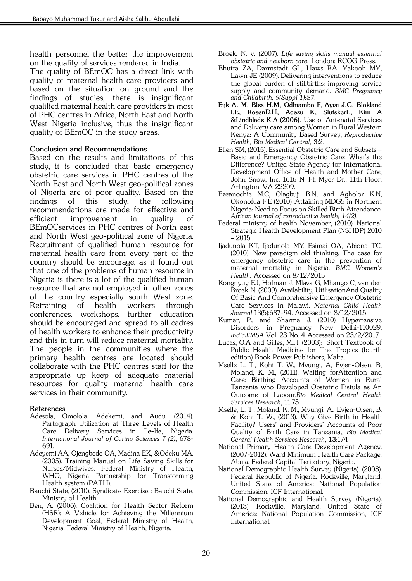*health personnel the better the improvement on the quality of services rendered in India.*

*The quality of BEmOC has a direct link with quality of maternal health care providers and based on the situation on ground and the findings of studies, there is insignificant qualified maternal health care providers in most of PHC centres in Africa, North East and North West Nigeria inclusive, thus the insignificant quality of BEmOC in the study areas.*

## *Conclusion and Recommendations*

*Based on the results and limitations of this study, it is concluded that basic emergency obstetric care services in PHC centres of the North East and North West geo-political zones of Nigeria are of poor quality. Based on the findings of this study, the following recommendations are made for effective and efficient improvement in quality of BEmOCservices in PHC centres of North east and North West geo-political zone of Nigeria. Recruitment of qualified human resource for maternal health care from every part of the country should be encourage, as it found out that one of the problems of human resource in Nigeria is there is a lot of the qualified human resource that are not employed in other zones of the country especially south West zone. Retraining of health workers through conferences, workshops, further education should be encouraged and spread to all cadres of health workers to enhance their productivity and this in turn will reduce maternal mortality. The people in the communities where the primary health centres are located should collaborate with the PHC centres staff for the appropriate up keep of adequate material resources for quality maternal health care services in their community.* 

## *References*

- *Adesola, Omolola, Adekemi, and Audu. (2014). Partograph Utilization at Three Levels of Health Care Delivery Services in Ile-Ife, Nigeria. International Journal of Caring Sciences 7 (2), 678- 691.*
- *Adeyemi,AA, Ojengbede OA, Madina EK, &Odeku MA. (2005). Training Manual on Life Saving Skills for Nurses/Midwives. Federal Ministry of Health, WHO, Nigeria Partnership for Transforming Health system (PATH).*
- *Bauchi State, (2010). Syndicate Exercise : Bauchi State, Ministry of Health.*
- *Ben, A. (2006). Coalition for Health Sector Reform (HSR): A Vehicle for Achieving the Millennium Development Goal, Federal Ministry of Health, Nigeria. Federal Ministry of Health, Nigeria.*
- *Broek, N. v. (2007). Life saving skills manual essential obstetric and newborn care. London: RCOG Press.*
- *Bhutta ZA, Darmstadt GL, Haws RA, Yakoob MY, Lawn JE (2009). Delivering interventions to reduce the global burden of stillbirths: improving service supply and community demand. BMC Pregnancy and Childbirth, 9(Suppl 1):S7.*
- *Eijk A. M, Bles H.M, Odhiambo F, Ayisi J.G, Blokland I.E, RosenD.H, Adazu K, SlutskerL, Kim A &Lindblade K.A (2006). Use of Antenatal Services and Delivery care among Women in Rural Western Kenya: A Community Based Survey, Reproductive Health, Bio Medical Central, 3:2.*
- *Ellen SM, (2015). Essential Obstetric Care and Subsets— Basic and Emergency Obstetric Care: What's the Difference? United State Agency for International Development Office of Health and Mother Care, John Snow, Inc. 1616 N. Ft. Myer Dr., 11th Floor, Arlington, VA 22209.*
- *Ezeanochie M.C, Olagbuji B.N, and Agholor K.N, Okonofua F.E (2010) .Attaining MDG5 in Northern Nigeria: Need to Focus on Skilled Birth Attendance. African journal of reproductive health; 14(2).*
- *Federal ministry of health November, (2010). National Strategic Health Development Plan (NSHDP) 2010 – 2015.*
- *Ijadunola KT, Ijadunola MY, Esimai OA, Abiona TC. (2010). New paradigm old thinking: The case for emergency obstetric care in the prevention of maternal mortality in Nigeria. BMC Women's Health. Accessed on 8/12/2015*
- *Kongnyuy EJ, Hofman J, Mlava G, Mhango C, van den Broek N. (2009). Availability, UtilisationAnd Quality Of Basic And Comprehensive Emergency Obstetric Care Services In Malawi. Maternal Child Health Journal;13(5):687–94. Accessed on 8/12/2015*
- *Kumar, P., and Sharma J. (2010) Hypertensive Disorders in Pregnancy New Delhi-110029, IndiaJIMSA Vol. 23 No. 4 Accessed on 23/2/2017*
- Lucas, O.A and Gilles, M.H. (2003): Short Textbook of *Public Health Medicine for The Tropics (fourth edition) Book Power Publishers, Malta.*
- *[Mselle L. T.,](http://www.ncbi.nlm.nih.gov/pubmed/?term=Mselle%20LT%5BAuthor%5D&cauthor=true&cauthor_uid=22013991) [Kohi T. W.,](http://www.ncbi.nlm.nih.gov/pubmed/?term=Kohi%20TW%5BAuthor%5D&cauthor=true&cauthor_uid=22013991) [Mvungi, A,](http://www.ncbi.nlm.nih.gov/pubmed/?term=Mvungi%20A%5BAuthor%5D&cauthor=true&cauthor_uid=22013991) [Evjen-Olsen, B,](http://www.ncbi.nlm.nih.gov/pubmed/?term=Evjen-Olsen%20B%5BAuthor%5D&cauthor=true&cauthor_uid=22013991)  [Moland, K. M.,](http://www.ncbi.nlm.nih.gov/pubmed/?term=Moland%20KM%5BAuthor%5D&cauthor=true&cauthor_uid=22013991) (2011). Waiting forAttention and Care: Birthing Accounts of Women in Rural Tanzania who Developed Obstetric Fistula as An Outcome of Labour,Bio Medical Central Health Services Research, 11:75*
- *Mselle, L. T., Moland, K. M., Mvungi, A., Evjen-Olsen, B. & Kohi T. W., (2013). Why Give Birth in Health Facility? Users' and Providers' Accounts of Poor Quality of Birth Care in Tanzania, Bio Medical Central Health Services Research, 13:174*
- *National Primary Health Care Development Agency. (2007-2012). Ward Minimum Health Care Package. Abuja, Federal Capital Teritotory, Nigeria.*
- *National Demographic Health Survey (Nigeria). (2008): Federal Republic of Nigeria, Rockville, Maryland, United State of America: National Population Commission, ICF International.*
- *National Demographic and Health Survey (Nigeria). (2013). Rockville, Maryland, United State of America: National Population Commission, ICF International.*